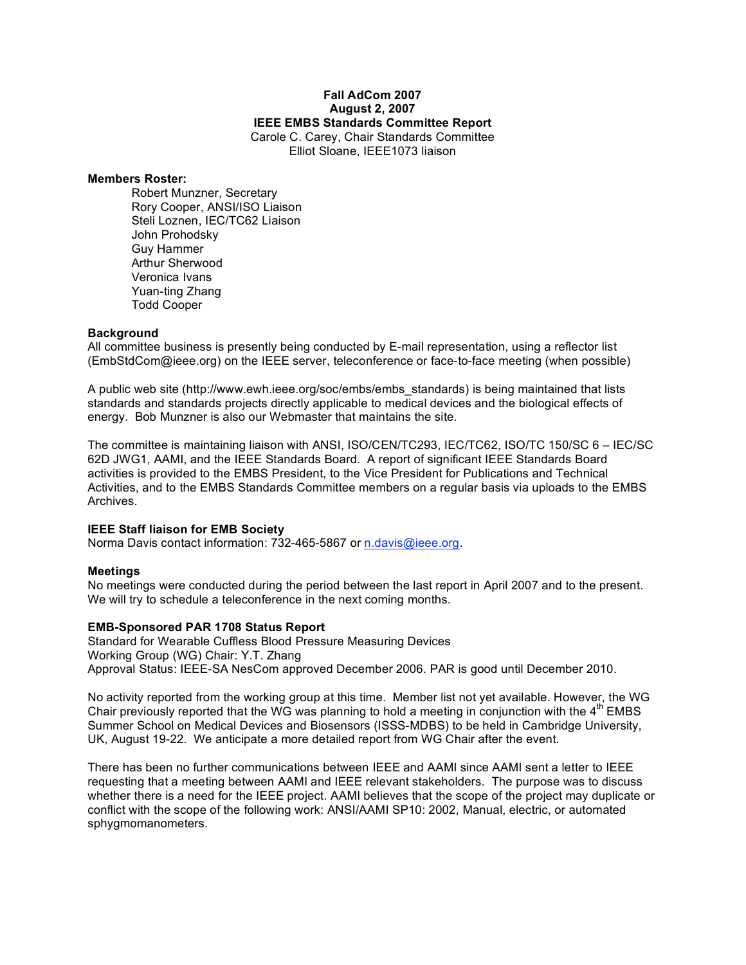## **Fall AdCom 2007 August 2, 2007 IEEE EMBS Standards Committee Report** Carole C. Carey, Chair Standards Committee Elliot Sloane, IEEE1073 liaison

#### **Members Roster:**

Robert Munzner, Secretary Rory Cooper, ANSI/ISO Liaison Steli Loznen, IEC/TC62 Liaison John Prohodsky Guy Hammer Arthur Sherwood Veronica Ivans Yuan-ting Zhang Todd Cooper

#### **Background**

All committee business is presently being conducted by E-mail representation, using a reflector list (EmbStdCom@ieee.org) on the IEEE server, teleconference or face-to-face meeting (when possible)

A public web site (http://www.ewh.ieee.org/soc/embs/embs\_standards) is being maintained that lists standards and standards projects directly applicable to medical devices and the biological effects of energy. Bob Munzner is also our Webmaster that maintains the site.

The committee is maintaining liaison with ANSI, ISO/CEN/TC293, IEC/TC62, ISO/TC 150/SC 6 – IEC/SC 62D JWG1, AAMI, and the IEEE Standards Board. A report of significant IEEE Standards Board activities is provided to the EMBS President, to the Vice President for Publications and Technical Activities, and to the EMBS Standards Committee members on a regular basis via uploads to the EMBS Archives.

## **IEEE Staff liaison for EMB Society**

Norma Davis contact information: 732-465-5867 or n.davis@ieee.org.

## **Meetings**

No meetings were conducted during the period between the last report in April 2007 and to the present. We will try to schedule a teleconference in the next coming months.

## **EMB-Sponsored PAR 1708 Status Report**

Standard for Wearable Cuffless Blood Pressure Measuring Devices Working Group (WG) Chair: Y.T. Zhang Approval Status: IEEE-SA NesCom approved December 2006. PAR is good until December 2010.

No activity reported from the working group at this time. Member list not yet available. However, the WG Chair previously reported that the WG was planning to hold a meeting in conjunction with the  $4<sup>th</sup>$  EMBS Summer School on Medical Devices and Biosensors (ISSS-MDBS) to be held in Cambridge University, UK, August 19-22. We anticipate a more detailed report from WG Chair after the event.

There has been no further communications between IEEE and AAMI since AAMI sent a letter to IEEE requesting that a meeting between AAMI and IEEE relevant stakeholders. The purpose was to discuss whether there is a need for the IEEE project. AAMI believes that the scope of the project may duplicate or conflict with the scope of the following work: ANSI/AAMI SP10: 2002, Manual, electric, or automated sphygmomanometers.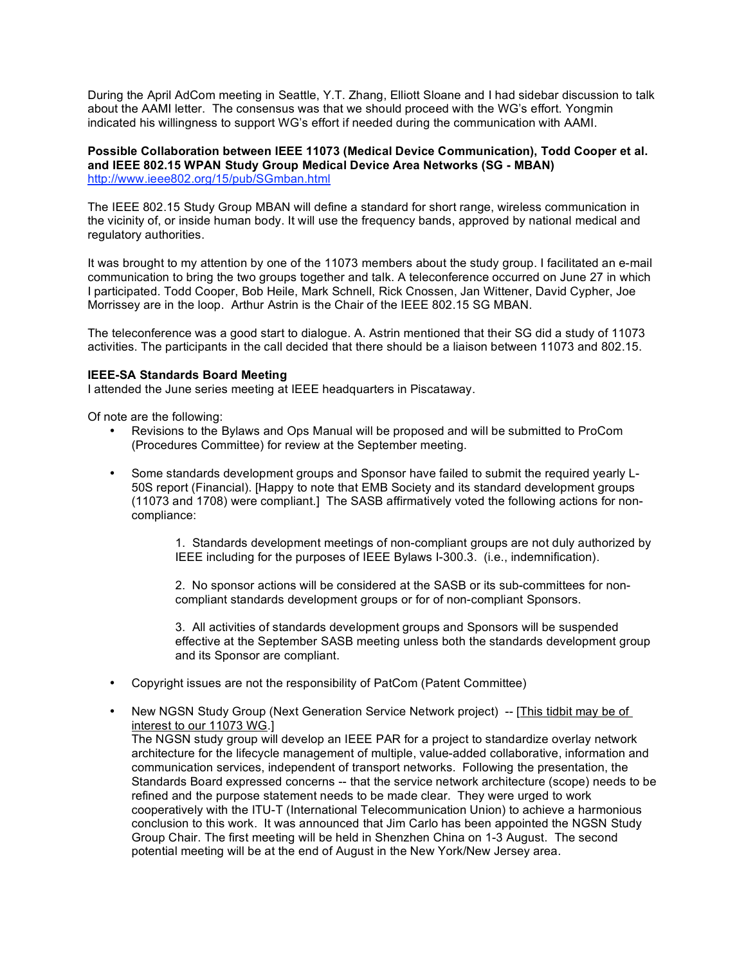During the April AdCom meeting in Seattle, Y.T. Zhang, Elliott Sloane and I had sidebar discussion to talk about the AAMI letter. The consensus was that we should proceed with the WG's effort. Yongmin indicated his willingness to support WG's effort if needed during the communication with AAMI.

#### **Possible Collaboration between IEEE 11073 (Medical Device Communication), Todd Cooper et al. and IEEE 802.15 WPAN Study Group Medical Device Area Networks (SG - MBAN)** http://www.ieee802.org/15/pub/SGmban.html

The IEEE 802.15 Study Group MBAN will define a standard for short range, wireless communication in the vicinity of, or inside human body. It will use the frequency bands, approved by national medical and regulatory authorities.

It was brought to my attention by one of the 11073 members about the study group. I facilitated an e-mail communication to bring the two groups together and talk. A teleconference occurred on June 27 in which I participated. Todd Cooper, Bob Heile, Mark Schnell, Rick Cnossen, Jan Wittener, David Cypher, Joe Morrissey are in the loop. Arthur Astrin is the Chair of the IEEE 802.15 SG MBAN.

The teleconference was a good start to dialogue. A. Astrin mentioned that their SG did a study of 11073 activities. The participants in the call decided that there should be a liaison between 11073 and 802.15.

# **IEEE-SA Standards Board Meeting**

I attended the June series meeting at IEEE headquarters in Piscataway.

Of note are the following:

- Revisions to the Bylaws and Ops Manual will be proposed and will be submitted to ProCom (Procedures Committee) for review at the September meeting.
- Some standards development groups and Sponsor have failed to submit the required yearly L-50S report (Financial). [Happy to note that EMB Society and its standard development groups (11073 and 1708) were compliant.] The SASB affirmatively voted the following actions for noncompliance:

1. Standards development meetings of non-compliant groups are not duly authorized by IEEE including for the purposes of IEEE Bylaws I-300.3. (i.e., indemnification).

2. No sponsor actions will be considered at the SASB or its sub-committees for noncompliant standards development groups or for of non-compliant Sponsors.

3. All activities of standards development groups and Sponsors will be suspended effective at the September SASB meeting unless both the standards development group and its Sponsor are compliant.

- Copyright issues are not the responsibility of PatCom (Patent Committee)
- New NGSN Study Group (Next Generation Service Network project) -- [This tidbit may be of interest to our 11073 WG.] The NGSN study group will develop an IEEE PAR for a project to standardize overlay network architecture for the lifecycle management of multiple, value-added collaborative, information and communication services, independent of transport networks. Following the presentation, the Standards Board expressed concerns -- that the service network architecture (scope) needs to be refined and the purpose statement needs to be made clear. They were urged to work cooperatively with the ITU-T (International Telecommunication Union) to achieve a harmonious conclusion to this work. It was announced that Jim Carlo has been appointed the NGSN Study Group Chair. The first meeting will be held in Shenzhen China on 1-3 August. The second potential meeting will be at the end of August in the New York/New Jersey area.